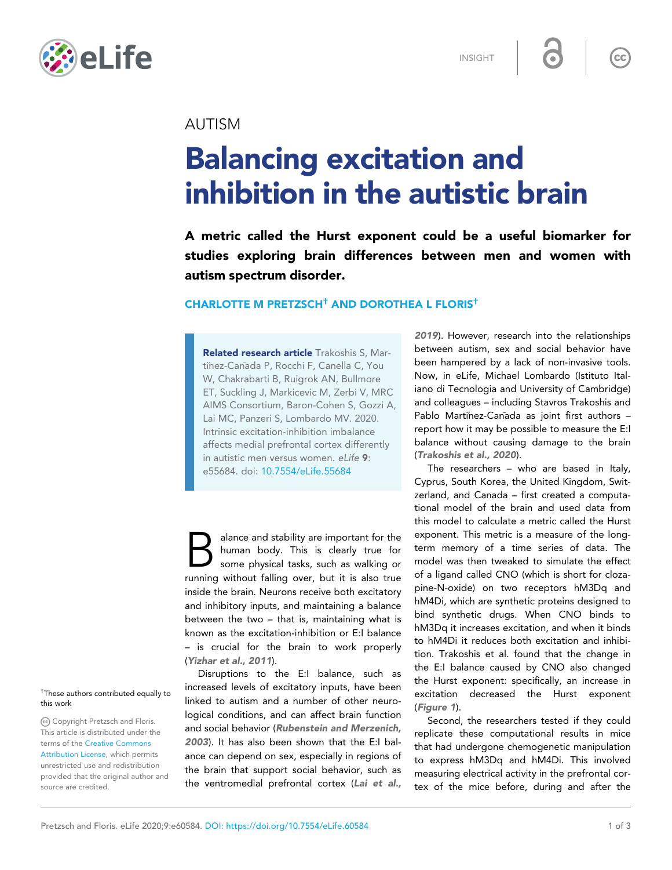



INSIGHT

 $\overline{\bullet}$ 

 $\overline{\text{cc}}$ 

# AUTISM

# Balancing excitation and inhibition in the autistic brain

A metric called the Hurst exponent could be a useful biomarker for studies exploring brain differences between men and women with autism spectrum disorder.

## CHARLOTTE M PRETZSCH† AND DOROTHEA L FLORIS†

Related research article Trakoshis S, Martinez-Canada P, Rocchi F, Canella C, You W, Chakrabarti B, Ruigrok AN, Bullmore ET, Suckling J, Markicevic M, Zerbi V, MRC AIMS Consortium, Baron-Cohen S, Gozzi A, Lai MC, Panzeri S, Lombardo MV. 2020. Intrinsic excitation-inhibition imbalance affects medial prefrontal cortex differently in autistic men versus women. eLife 9: e55684. doi: [10.7554/eLife.55684](http://doi.org/10.7554/eLife.55684)

alance and stability are important for the human body. This is clearly true for some physical tasks, such as walking or running without falling over, but it is also true alance and stability are important for the human body. This is clearly true for some physical tasks, such as walking or inside the brain. Neurons receive both excitatory and inhibitory inputs, and maintaining a balance between the two – that is, maintaining what is known as the excitation-inhibition or E:I balance – is crucial for the brain to work properly ([Yizhar et al., 2011](#page-2-0)).

Disruptions to the E:I balance, such as increased levels of excitatory inputs, have been linked to autism and a number of other neurological conditions, and can affect brain function and social behavior ([Rubenstein and Merzenich,](#page-2-0) [2003](#page-2-0)). It has also been shown that the E:I balance can depend on sex, especially in regions of the brain that support social behavior, such as the ventromedial prefrontal cortex ([Lai et al.,](#page-2-0)

[2019](#page-2-0)). However, research into the relationships between autism, sex and social behavior have been hampered by a lack of non-invasive tools. Now, in eLife, Michael Lombardo (Istituto Italiano di Tecnologia and University of Cambridge) and colleagues – including Stavros Trakoshis and Pablo Martinez-Canada as joint first authors report how it may be possible to measure the E:I balance without causing damage to the brain ([Trakoshis et al., 2020](#page-2-0)).

The researchers – who are based in Italy, Cyprus, South Korea, the United Kingdom, Switzerland, and Canada – first created a computational model of the brain and used data from this model to calculate a metric called the Hurst exponent. This metric is a measure of the longterm memory of a time series of data. The model was then tweaked to simulate the effect of a ligand called CNO (which is short for clozapine-N-oxide) on two receptors hM3Dq and hM4Di, which are synthetic proteins designed to bind synthetic drugs. When CNO binds to hM3Dq it increases excitation, and when it binds to hM4Di it reduces both excitation and inhibition. Trakoshis et al. found that the change in the E:I balance caused by CNO also changed the Hurst exponent: specifically, an increase in excitation decreased the Hurst exponent ([Figure 1](#page-1-0)).

Second, the researchers tested if they could replicate these computational results in mice that had undergone chemogenetic manipulation to express hM3Dq and hM4Di. This involved measuring electrical activity in the prefrontal cortex of the mice before, during and after the

#### † These authors contributed equally to this work

Copyright Pretzsch and Floris. This article is distributed under the terms of the [Creative Commons](http://creativecommons.org/licenses/by/4.0/) [Attribution License](http://creativecommons.org/licenses/by/4.0/), which permits unrestricted use and redistribution provided that the original author and source are credited.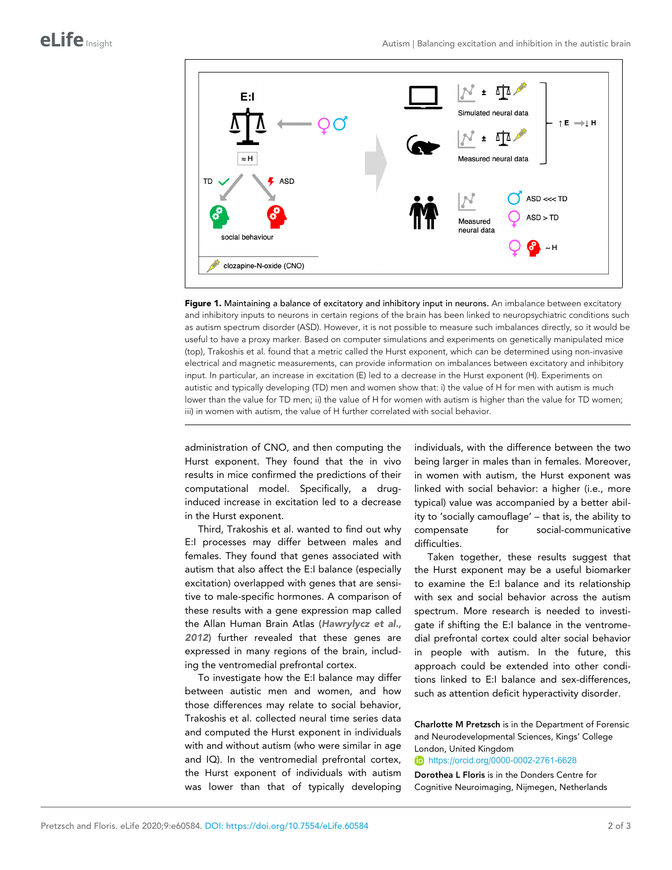<span id="page-1-0"></span>

Figure 1. Maintaining a balance of excitatory and inhibitory input in neurons. An imbalance between excitatory and inhibitory inputs to neurons in certain regions of the brain has been linked to neuropsychiatric conditions such as autism spectrum disorder (ASD). However, it is not possible to measure such imbalances directly, so it would be useful to have a proxy marker. Based on computer simulations and experiments on genetically manipulated mice (top), Trakoshis et al. found that a metric called the Hurst exponent, which can be determined using non-invasive electrical and magnetic measurements, can provide information on imbalances between excitatory and inhibitory input. In particular, an increase in excitation (E) led to a decrease in the Hurst exponent (H). Experiments on autistic and typically developing (TD) men and women show that: i) the value of H for men with autism is much lower than the value for TD men; ii) the value of H for women with autism is higher than the value for TD women; iii) in women with autism, the value of H further correlated with social behavior.

administration of CNO, and then computing the Hurst exponent. They found that the in vivo results in mice confirmed the predictions of their computational model. Specifically, a druginduced increase in excitation led to a decrease in the Hurst exponent.

Third, Trakoshis et al. wanted to find out why E:I processes may differ between males and females. They found that genes associated with autism that also affect the E:I balance (especially excitation) overlapped with genes that are sensitive to male-specific hormones. A comparison of these results with a gene expression map called the Allan Human Brain Atlas ([Hawrylycz et al.,](#page-2-0) [2012](#page-2-0)) further revealed that these genes are expressed in many regions of the brain, including the ventromedial prefrontal cortex.

To investigate how the E:I balance may differ between autistic men and women, and how those differences may relate to social behavior, Trakoshis et al. collected neural time series data and computed the Hurst exponent in individuals with and without autism (who were similar in age and IQ). In the ventromedial prefrontal cortex, the Hurst exponent of individuals with autism was lower than that of typically developing individuals, with the difference between the two being larger in males than in females. Moreover, in women with autism, the Hurst exponent was linked with social behavior: a higher (i.e., more typical) value was accompanied by a better ability to 'socially camouflage' – that is, the ability to compensate for social-communicative difficulties.

Taken together, these results suggest that the Hurst exponent may be a useful biomarker to examine the E:I balance and its relationship with sex and social behavior across the autism spectrum. More research is needed to investigate if shifting the E:I balance in the ventromedial prefrontal cortex could alter social behavior in people with autism. In the future, this approach could be extended into other conditions linked to E:I balance and sex-differences, such as attention deficit hyperactivity disorder.

Charlotte M Pretzsch is in the Department of Forensic and Neurodevelopmental Sciences, Kings' College London, United Kingdom

<https://orcid.org/0000-0002-2761-6628>

Dorothea L Floris is in the Donders Centre for Cognitive Neuroimaging, Nijmegen, Netherlands